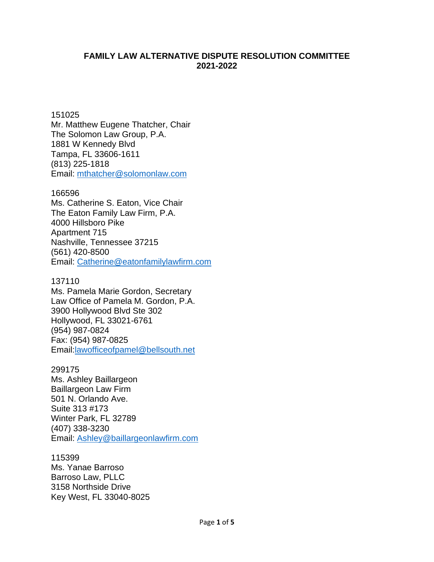# **FAMILY LAW ALTERNATIVE DISPUTE RESOLUTION COMMITTEE 2021-2022**

151025 Mr. Matthew Eugene Thatcher, Chair The Solomon Law Group, P.A. 1881 W Kennedy Blvd Tampa, FL 33606-1611 (813) 225-1818 Email: [mthatcher@solomonlaw.com](mailto:mthatcher@solomonlaw.com)

### 166596

Ms. Catherine S. Eaton, Vice Chair The Eaton Family Law Firm, P.A. 4000 Hillsboro Pike Apartment 715 Nashville, Tennessee 37215 (561) 420-8500 Email: [Catherine@eatonfamilylawfirm.com](mailto:Catherine@eatonfamilylawfirm.com)

## 137110

Ms. Pamela Marie Gordon, Secretary Law Office of Pamela M. Gordon, P.A. 3900 Hollywood Blvd Ste 302 Hollywood, FL 33021-6761 (954) [987-0824](tel:954-987-0824) Fax: (954) 987-0825 Email[:lawofficeofpamel@bellsouth.net](mailto:lawofficeofpamel@bellsouth.net)

### 299175

Ms. Ashley Baillargeon Baillargeon Law Firm 501 N. Orlando Ave. Suite 313 #173 Winter Park, FL 32789 (407) 338-3230 Email: [Ashley@baillargeonlawfirm.com](mailto:Ashley@baillargeonlawfirm.com)

### 115399

Ms. Yanae Barroso Barroso Law, PLLC 3158 Northside Drive Key West, FL 33040-8025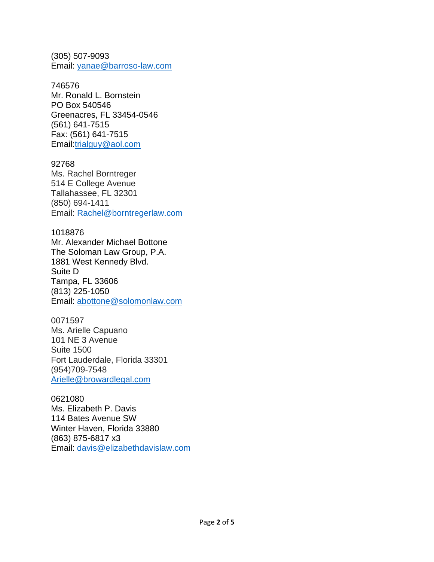(305) 507-9093 Email: [yanae@barroso-law.com](mailto:yanae@barroso-law.com)

746576 Mr. Ronald L. Bornstein PO Box 540546 Greenacres, FL 33454-0546 (561) [641-7515](tel:561-641-7515) Fax: (561) 641-7515 Email[:trialguy@aol.com](mailto:trialguy@aol.com)

92768 Ms. Rachel Borntreger 514 E College Avenue Tallahassee, FL 32301 (850) 694-1411 Email: [Rachel@borntregerlaw.com](mailto:Rachel@borntregerlaw.com)

1018876 Mr. Alexander Michael Bottone The Soloman Law Group, P.A. 1881 West Kennedy Blvd. Suite D Tampa, FL 33606 (813) 225-1050 Email: [abottone@solomonlaw.com](mailto:abottone@solomonlaw.com)

0071597 Ms. Arielle Capuano 101 NE 3 Avenue Suite 1500 Fort Lauderdale, Florida 33301 (954)709-7548 [Arielle@browardlegal.com](mailto:Arielle@browardlegal.com)

0621080 Ms. Elizabeth P. Davis 114 Bates Avenue SW Winter Haven, Florida 33880 (863) 875-6817 x3 Email: [davis@elizabethdavislaw.com](mailto:davis@elizabethdavislaw.com)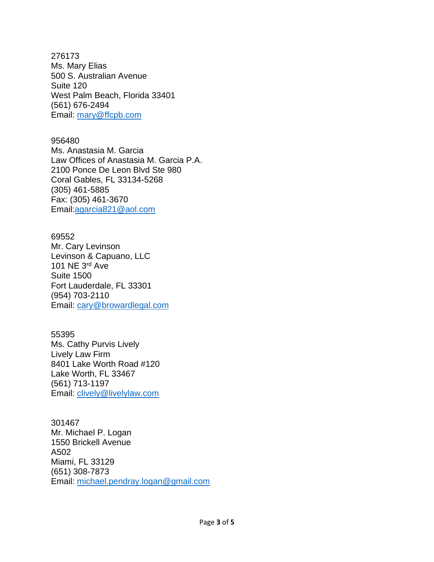276173 Ms. Mary Elias 500 S. Australian Avenue Suite 120 West Palm Beach, Florida 33401 (561) 676-2494 Email: [mary@ffcpb.com](mailto:mary@ffcpb.com)

956480 Ms. Anastasia M. Garcia Law Offices of Anastasia M. Garcia P.A. 2100 Ponce De Leon Blvd Ste 980 Coral Gables, FL 33134-5268 (305) [461-5885](tel:305-461-5885) Fax: (305) 461-3670 Email[:agarcia821@aol.com](mailto:agarcia821@aol.com)

69552 Mr. Cary Levinson Levinson & Capuano, LLC 101 NE 3rd Ave Suite 1500 Fort Lauderdale, FL 33301 (954) 703-2110 Email: [cary@browardlegal.com](mailto:cary@browardlegal.com)

55395 Ms. Cathy Purvis Lively Lively Law Firm 8401 Lake Worth Road #120 Lake Worth, FL 33467 (561) 713-1197 Email: [clively@livelylaw.com](mailto:clively@livelylaw.com)

301467 Mr. Michael P. Logan 1550 Brickell Avenue A502 Miami, FL 33129 (651) 308-7873 Email: [michael.pendray.logan@gmail.com](mailto:michael.pendray.logan@gmail.com)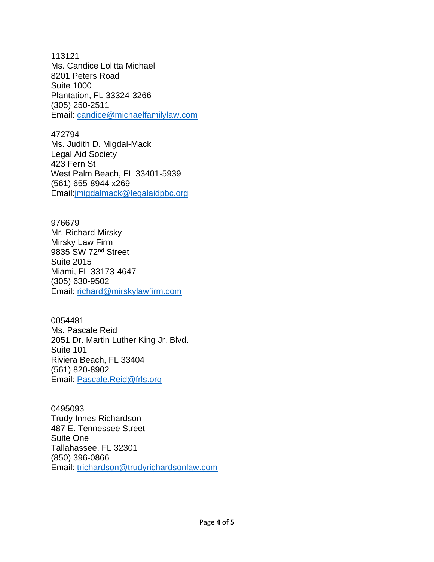113121 Ms. Candice Lolitta Michael 8201 Peters Road Suite 1000 Plantation, FL 33324-3266 (305) 250-2511 Email: [candice@michaelfamilylaw.com](mailto:candice@michaelfamilylaw.com)

472794

Ms. Judith D. Migdal-Mack Legal Aid Society 423 Fern St West Palm Beach, FL 33401-5939 (561) [655-8944](tel:561-655-8944%20x269) x269 Email[:jmigdalmack@legalaidpbc.org](mailto:jmigdalmack@legalaidpbc.org)

976679 Mr. Richard Mirsky Mirsky Law Firm 9835 SW 72nd Street Suite 2015 Miami, FL 33173-4647 (305) 630-9502 Email: [richard@mirskylawfirm.com](mailto:richard@mirskylawfirm.com)

0054481 Ms. Pascale Reid 2051 Dr. Martin Luther King Jr. Blvd. Suite 101 Riviera Beach, FL 33404 (561) 820-8902 Email: [Pascale.Reid@frls.org](mailto:Pascale.Reid@frls.org)

0495093 Trudy Innes Richardson 487 E. Tennessee Street Suite One Tallahassee, FL 32301 (850) 396-0866 Email: [trichardson@trudyrichardsonlaw.com](mailto:trichardson@trudyrichardsonlaw.com)